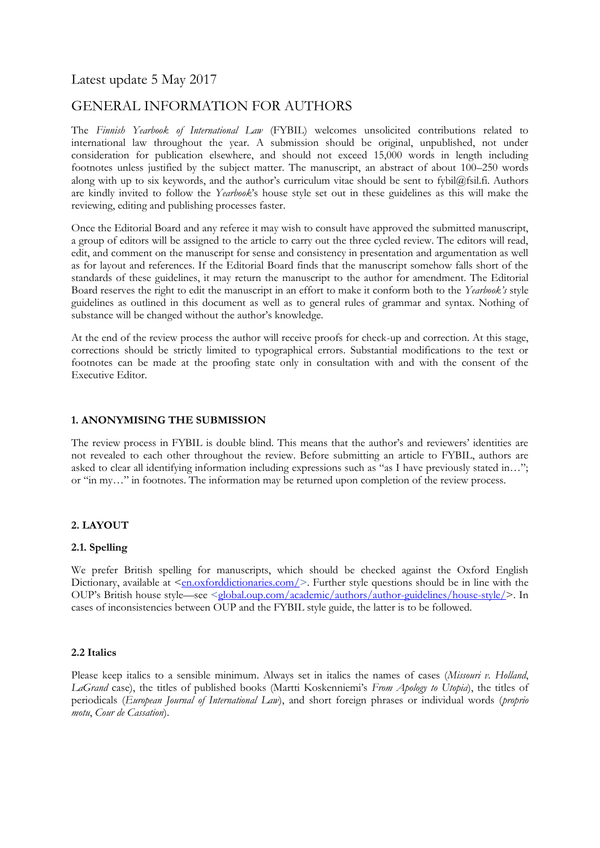# Latest update 5 May 2017

# GENERAL INFORMATION FOR AUTHORS

The *Finnish Yearbook of International Law* (FYBIL) welcomes unsolicited contributions related to international law throughout the year. A submission should be original, unpublished, not under consideration for publication elsewhere, and should not exceed 15,000 words in length including footnotes unless justified by the subject matter. The manuscript, an abstract of about 100–250 words along with up to six keywords, and the author's curriculum vitae should be sent to fybil@fsil.fi. Authors are kindly invited to follow the *Yearbook*'s house style set out in these guidelines as this will make the reviewing, editing and publishing processes faster.

Once the Editorial Board and any referee it may wish to consult have approved the submitted manuscript, a group of editors will be assigned to the article to carry out the three cycled review. The editors will read, edit, and comment on the manuscript for sense and consistency in presentation and argumentation as well as for layout and references. If the Editorial Board finds that the manuscript somehow falls short of the standards of these guidelines, it may return the manuscript to the author for amendment. The Editorial Board reserves the right to edit the manuscript in an effort to make it conform both to the *Yearbook's* style guidelines as outlined in this document as well as to general rules of grammar and syntax. Nothing of substance will be changed without the author's knowledge.

At the end of the review process the author will receive proofs for check-up and correction. At this stage, corrections should be strictly limited to typographical errors. Substantial modifications to the text or footnotes can be made at the proofing state only in consultation with and with the consent of the Executive Editor.

### **1. ANONYMISING THE SUBMISSION**

The review process in FYBIL is double blind. This means that the author's and reviewers' identities are not revealed to each other throughout the review. Before submitting an article to FYBIL, authors are asked to clear all identifying information including expressions such as "as I have previously stated in…"; or "in my…" in footnotes. The information may be returned upon completion of the review process.

## **2. LAYOUT**

### **2.1. Spelling**

We prefer British spelling for manuscripts, which should be checked against the Oxford English Dictionary, available at [<en.oxforddictionaries.com/>](https://en.oxforddictionaries.com/). Further style questions should be in line with the OUP's British house style—see [<global.oup.com/academic/authors/author-guidelines/house-style/>](https://global.oup.com/academic/authors/author-guidelines/house-style/). In cases of inconsistencies between OUP and the FYBIL style guide, the latter is to be followed.

### **2.2 Italics**

Please keep italics to a sensible minimum. Always set in italics the names of cases (*Missouri v. Holland*, *LaGrand* case), the titles of published books (Martti Koskenniemi's *From Apology to Utopia*), the titles of periodicals (*European Journal of International Law*), and short foreign phrases or individual words (*proprio motu*, *Cour de Cassation*).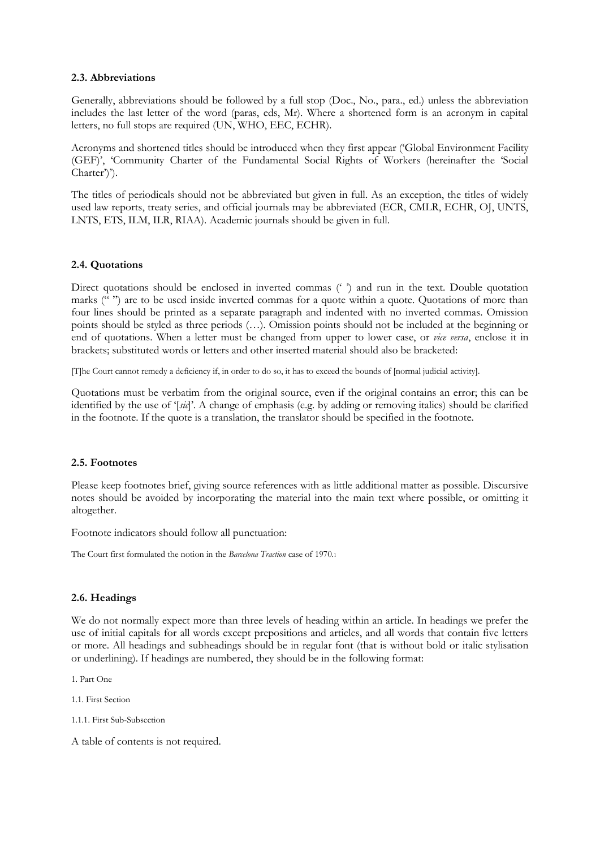### **2.3. Abbreviations**

Generally, abbreviations should be followed by a full stop (Doc., No., para., ed.) unless the abbreviation includes the last letter of the word (paras, eds, Mr). Where a shortened form is an acronym in capital letters, no full stops are required (UN, WHO, EEC, ECHR).

Acronyms and shortened titles should be introduced when they first appear ('Global Environment Facility (GEF)', 'Community Charter of the Fundamental Social Rights of Workers (hereinafter the 'Social Charter')').

The titles of periodicals should not be abbreviated but given in full. As an exception, the titles of widely used law reports, treaty series, and official journals may be abbreviated (ECR, CMLR, ECHR, OJ, UNTS, LNTS, ETS, ILM, ILR, RIAA). Academic journals should be given in full.

### **2.4. Quotations**

Direct quotations should be enclosed in inverted commas (' ') and run in the text. Double quotation marks ("") are to be used inside inverted commas for a quote within a quote. Quotations of more than four lines should be printed as a separate paragraph and indented with no inverted commas. Omission points should be styled as three periods (…). Omission points should not be included at the beginning or end of quotations. When a letter must be changed from upper to lower case, or *vice versa*, enclose it in brackets; substituted words or letters and other inserted material should also be bracketed:

[T]he Court cannot remedy a deficiency if, in order to do so, it has to exceed the bounds of [normal judicial activity].

Quotations must be verbatim from the original source, even if the original contains an error; this can be identified by the use of '[*sic*]'. A change of emphasis (e.g. by adding or removing italics) should be clarified in the footnote. If the quote is a translation, the translator should be specified in the footnote.

## **2.5. Footnotes**

Please keep footnotes brief, giving source references with as little additional matter as possible. Discursive notes should be avoided by incorporating the material into the main text where possible, or omitting it altogether.

Footnote indicators should follow all punctuation:

The Court first formulated the notion in the *Barcelona Traction* case of 1970.<sup>1</sup>

### **2.6. Headings**

We do not normally expect more than three levels of heading within an article. In headings we prefer the use of initial capitals for all words except prepositions and articles, and all words that contain five letters or more. All headings and subheadings should be in regular font (that is without bold or italic stylisation or underlining). If headings are numbered, they should be in the following format:

1. Part One

1.1. First Section

1.1.1. First Sub-Subsection

A table of contents is not required.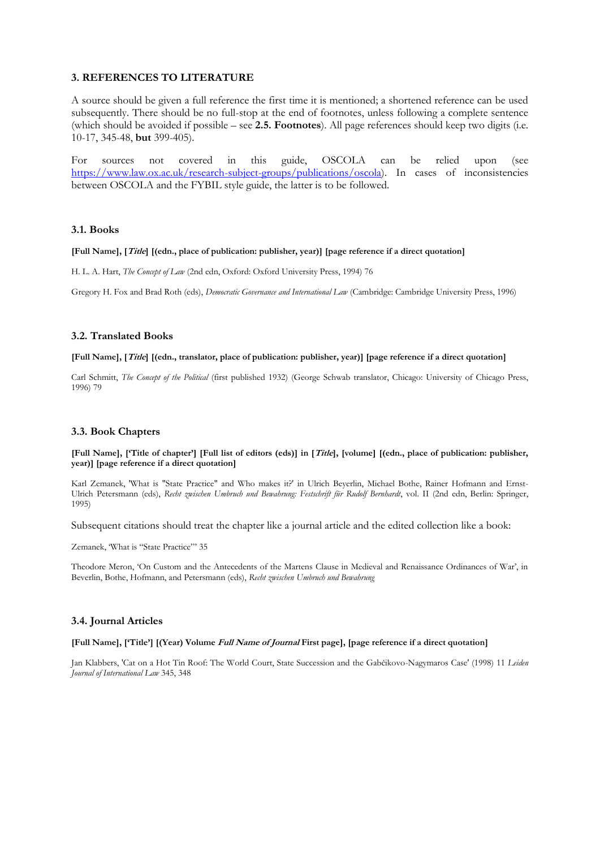### **3. REFERENCES TO LITERATURE**

A source should be given a full reference the first time it is mentioned; a shortened reference can be used subsequently. There should be no full-stop at the end of footnotes, unless following a complete sentence (which should be avoided if possible – see **2.5. Footnotes**). All page references should keep two digits (i.e. 10-17, 345-48, **but** 399-405).

For sources not covered in this guide, OSCOLA can be relied upon (see [https://www.law.ox.ac.uk/research-subject-groups/publications/oscola\)](https://www.law.ox.ac.uk/research-subject-groups/publications/oscola). In cases of inconsistencies between OSCOLA and the FYBIL style guide, the latter is to be followed.

#### **3.1. Books**

#### **[Full Name], [Title] [(edn., place of publication: publisher, year)] [page reference if a direct quotation]**

H. L. A. Hart, *The Concept of Law* (2nd edn, Oxford: Oxford University Press, 1994) 76

Gregory H. Fox and Brad Roth (eds), *Democratic Governance and International Law* (Cambridge: Cambridge University Press, 1996)

#### **3.2. Translated Books**

#### **[Full Name], [Title] [(edn., translator, place of publication: publisher, year)] [page reference if a direct quotation]**

Carl Schmitt, *The Concept of the Political* (first published 1932) (George Schwab translator, Chicago: University of Chicago Press, 1996) 79

### **3.3. Book Chapters**

#### **[Full Name], ['Title of chapter'] [Full list of editors (eds)] in [Title], [volume] [(edn., place of publication: publisher, year)] [page reference if a direct quotation]**

Karl Zemanek, 'What is "State Practice" and Who makes it?' in Ulrich Beyerlin, Michael Bothe, Rainer Hofmann and Ernst-Ulrich Petersmann (eds), *Recht zwischen Umbruch und Bewahrung: Festschrift für Rudolf Bernhardt*, vol. II (2nd edn, Berlin: Springer, 1995)

Subsequent citations should treat the chapter like a journal article and the edited collection like a book:

Zemanek, 'What is "State Practice"' 35

Theodore Meron, 'On Custom and the Antecedents of the Martens Clause in Medieval and Renaissance Ordinances of War', in Beverlin, Bothe, Hofmann, and Petersmann (eds), *Recht zwischen Umbruch und Bewahrung*

### **3.4. Journal Articles**

#### **[Full Name], ['Title'] [(Year) Volume Full Name of Journal First page], [page reference if a direct quotation]**

Jan Klabbers, 'Cat on a Hot Tin Roof: The World Court, State Succession and the Gabčikovo-Nagymaros Case' (1998) 11 *Leiden Journal of International Law* 345, 348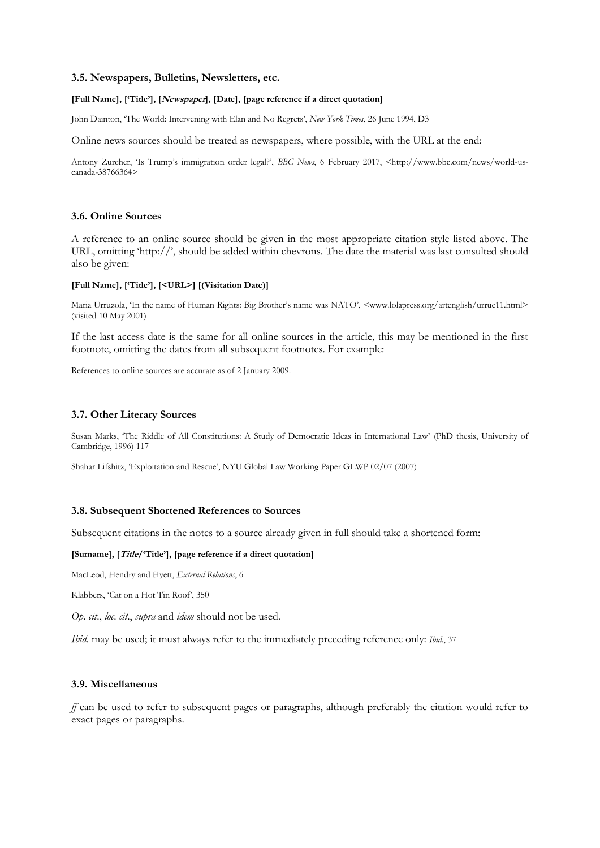### **3.5. Newspapers, Bulletins, Newsletters, etc.**

#### **[Full Name], ['Title'], [Newspaper], [Date], [page reference if a direct quotation]**

John Dainton, 'The World: Intervening with Elan and No Regrets', *New York Times*, 26 June 1994, D3

Online news sources should be treated as newspapers, where possible, with the URL at the end:

Antony Zurcher, 'Is Trump's immigration order legal?', *BBC News*, 6 February 2017, <http://www.bbc.com/news/world-uscanada-38766364>

### **3.6. Online Sources**

A reference to an online source should be given in the most appropriate citation style listed above. The URL, omitting 'http://', should be added within chevrons. The date the material was last consulted should also be given:

#### **[Full Name], ['Title'], [<URL>] [(Visitation Date)]**

Maria Urruzola, 'In the name of Human Rights: Big Brother's name was NATO', <www.lolapress.org/artenglish/urrue11.html> (visited 10 May 2001)

If the last access date is the same for all online sources in the article, this may be mentioned in the first footnote, omitting the dates from all subsequent footnotes. For example:

References to online sources are accurate as of 2 January 2009.

#### **3.7. Other Literary Sources**

Susan Marks, 'The Riddle of All Constitutions: A Study of Democratic Ideas in International Law' (PhD thesis, University of Cambridge, 1996) 117

Shahar Lifshitz, 'Exploitation and Rescue', NYU Global Law Working Paper GLWP 02/07 (2007)

### **3.8. Subsequent Shortened References to Sources**

Subsequent citations in the notes to a source already given in full should take a shortened form:

# **[Surname], [Title/'Title'], [page reference if a direct quotation]**

MacLeod, Hendry and Hyett, *External Relations*, 6

Klabbers, 'Cat on a Hot Tin Roof', 350

*Op*. *cit*., *loc*. *cit*., *supra* and *idem* should not be used.

*Ibid*. may be used; it must always refer to the immediately preceding reference only: *Ibid*., 37

#### **3.9. Miscellaneous**

*ff* can be used to refer to subsequent pages or paragraphs, although preferably the citation would refer to exact pages or paragraphs.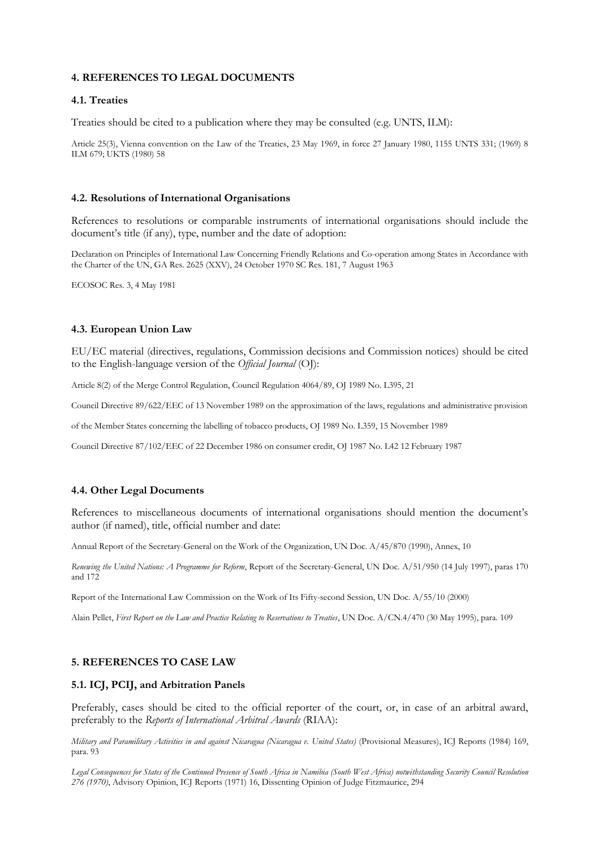### **4. REFERENCES TO LEGAL DOCUMENTS**

### **4.1. Treaties**

Treaties should be cited to a publication where they may be consulted (e.g. UNTS, ILM):

Article 25(3), Vienna convention on the Law of the Treaties, 23 May 1969, in force 27 January 1980, 1155 UNTS 331; (1969) 8 ILM 679; UKTS (1980) 58

#### **4.2. Resolutions of International Organisations**

References to resolutions or comparable instruments of international organisations should include the document's title (if any), type, number and the date of adoption:

Declaration on Principles of International Law Concerning Friendly Relations and Co-operation among States in Accordance with the Charter of the UN, GA Res. 2625 (XXV), 24 October 1970 SC Res. 181, 7 August 1963

ECOSOC Res. 3, 4 May 1981

### **4.3. European Union Law**

EU/EC material (directives, regulations, Commission decisions and Commission notices) should be cited to the English-language version of the *Official Journal* (OJ):

Article 8(2) of the Merge Control Regulation, Council Regulation 4064/89, OJ 1989 No. L395, 21

Council Directive 89/622/EEC of 13 November 1989 on the approximation of the laws, regulations and administrative provision

of the Member States concerning the labelling of tobacco products, OJ 1989 No. L359, 15 November 1989

Council Directive 87/102/EEC of 22 December 1986 on consumer credit, OJ 1987 No. L42 12 February 1987

#### **4.4. Other Legal Documents**

References to miscellaneous documents of international organisations should mention the document's author (if named), title, official number and date:

Annual Report of the Secretary-General on the Work of the Organization, UN Doc. A/45/870 (1990), Annex, 10

*Renewing the United Nations: A Programme for Reform*, Report of the Secretary-General, UN Doc. A/51/950 (14 July 1997), paras 170 and 172

Report of the International Law Commission on the Work of Its Fifty-second Session, UN Doc. A/55/10 (2000)

Alain Pellet, *First Report on the Law and Practice Relating to Reservations to Treaties*, UN Doc. A/CN.4/470 (30 May 1995), para. 109

#### **5. REFERENCES TO CASE LAW**

#### **5.1. ICJ, PCIJ, and Arbitration Panels**

Preferably, cases should be cited to the official reporter of the court, or, in case of an arbitral award, preferably to the *Reports of International Arbitral Awards* (RIAA):

*Military and Paramilitary Activities in and against Nicaragua (Nicaragua v. United States)* (Provisional Measures), ICJ Reports (1984) 169, para. 93

*Legal Consequences for States of the Continued Presence of South Africa in Namibia (South West Africa) notwithstanding Security Council Resolution 276 (1970)*, Advisory Opinion, ICJ Reports (1971) 16, Dissenting Opinion of Judge Fitzmaurice, 294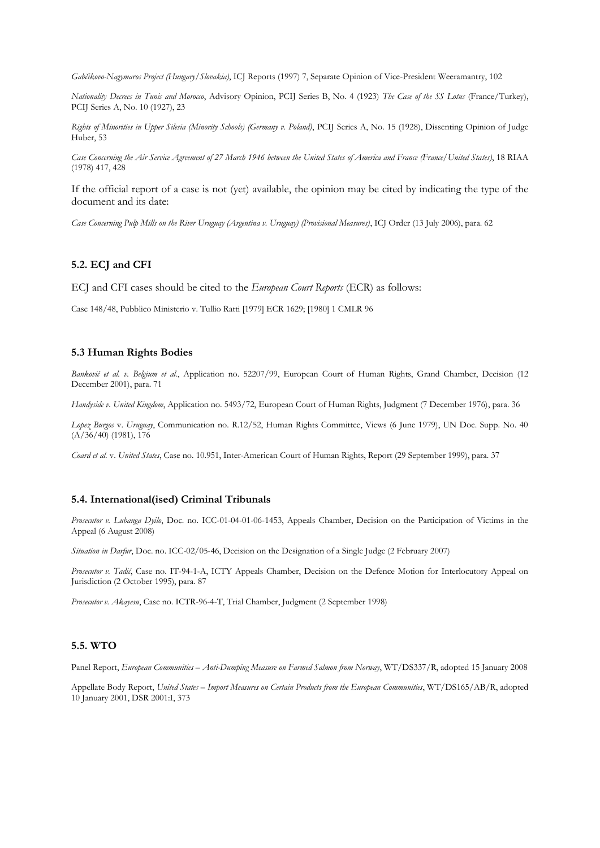*Gabčikovo-Nagymaros Project (Hungary/Slovakia)*, ICJ Reports (1997) 7, Separate Opinion of Vice-President Weeramantry, 102

*Nationality Decrees in Tunis and Morocco*, Advisory Opinion, PCIJ Series B, No. 4 (1923) *The Case of the SS Lotus* (France/Turkey), PCIJ Series A, No. 10 (1927), 23

*Rights of Minorities in Upper Silesia (Minority Schools) (Germany v. Poland)*, PCIJ Series A, No. 15 (1928), Dissenting Opinion of Judge Huber, 53

*Case Concerning the Air Service Agreement of 27 March 1946 between the United States of America and France (France/United States)*, 18 RIAA (1978) 417, 428

If the official report of a case is not (yet) available, the opinion may be cited by indicating the type of the document and its date:

*Case Concerning Pulp Mills on the River Uruguay (Argentina v. Uruguay) (Provisional Measures)*, ICJ Order (13 July 2006), para. 62

### **5.2. ECJ and CFI**

ECJ and CFI cases should be cited to the *European Court Reports* (ECR) as follows:

Case 148/48, Pubblico Ministerio v. Tullio Ratti [1979] ECR 1629; [1980] 1 CMLR 96

#### **5.3 Human Rights Bodies**

*Banković et al. v. Belgium et al.*, Application no. 52207/99, European Court of Human Rights, Grand Chamber, Decision (12 December 2001), para. 71

*Handyside v. United Kingdom*, Application no. 5493/72, European Court of Human Rights, Judgment (7 December 1976), para. 36

*Lopez Burgos* v. *Uruguay*, Communication no. R.12/52, Human Rights Committee, Views (6 June 1979), UN Doc. Supp. No. 40  $(A/36/40)$  (1981), 176

*Coard et al.* v. *United States*, Case no. 10.951, Inter-American Court of Human Rights, Report (29 September 1999), para. 37

#### **5.4. International(ised) Criminal Tribunals**

*Prosecutor v. Lubanga Dyilo*, Doc. no. ICC-01-04-01-06-1453, Appeals Chamber, Decision on the Participation of Victims in the Appeal (6 August 2008)

*Situation in Darfur*, Doc. no. ICC-02/05-46, Decision on the Designation of a Single Judge (2 February 2007)

*Prosecutor v. Tadić*, Case no. IT-94-1-A, ICTY Appeals Chamber, Decision on the Defence Motion for Interlocutory Appeal on Jurisdiction (2 October 1995), para. 87

*Prosecutor v. Akayesu*, Case no. ICTR-96-4-T, Trial Chamber, Judgment (2 September 1998)

#### **5.5. WTO**

Panel Report, *European Communities – Anti-Dumping Measure on Farmed Salmon from Norway*, WT/DS337/R, adopted 15 January 2008

Appellate Body Report, *United States – Import Measures on Certain Products from the European Communities*, WT/DS165/AB/R, adopted 10 January 2001, DSR 2001:I, 373